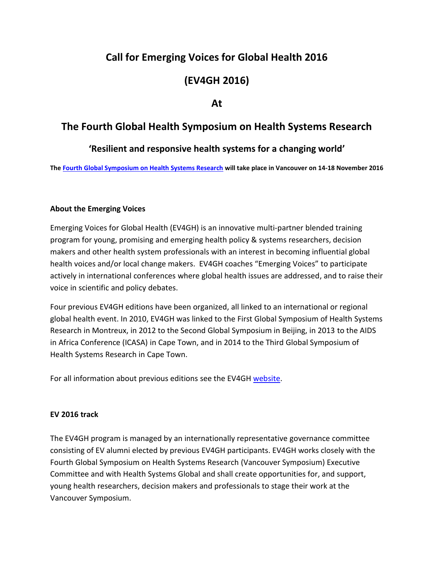# **Call for Emerging Voices for Global Health 2016**

# **(EV4GH 2016)**

## **At**

# **The Fourth Global Health Symposium on Health Systems Research**

## **'Resilient and responsive health systems for a changing world'**

**Th[e Fourth Global Symposium on Health Systems Research](http://healthsystemsresearch.org/hsr2016/) will take place in Vancouver on 14-18 November 2016**

#### **About the Emerging Voices**

Emerging Voices for Global Health (EV4GH) is an innovative multi-partner blended training program for young, promising and emerging health policy & systems researchers, decision makers and other health system professionals with an interest in becoming influential global health voices and/or local change makers. EV4GH coaches "Emerging Voices" to participate actively in international conferences where global health issues are addressed, and to raise their voice in scientific and policy debates.

Four previous EV4GH editions have been organized, all linked to an international or regional global health event. In 2010, EV4GH was linked to the First Global Symposium of Health Systems Research in Montreux, in 2012 to the Second Global Symposium in Beijing, in 2013 to the AIDS in Africa Conference (ICASA) in Cape Town, and in 2014 to the Third Global Symposium of Health Systems Research in Cape Town.

For all information about previous editions see the EV4GH [website.](http://www.ev4gh.net/)

#### **EV 2016 track**

The EV4GH program is managed by an internationally representative governance committee consisting of EV alumni elected by previous EV4GH participants. EV4GH works closely with the Fourth Global Symposium on Health Systems Research (Vancouver Symposium) Executive Committee and with Health Systems Global and shall create opportunities for, and support, young health researchers, decision makers and professionals to stage their work at the Vancouver Symposium.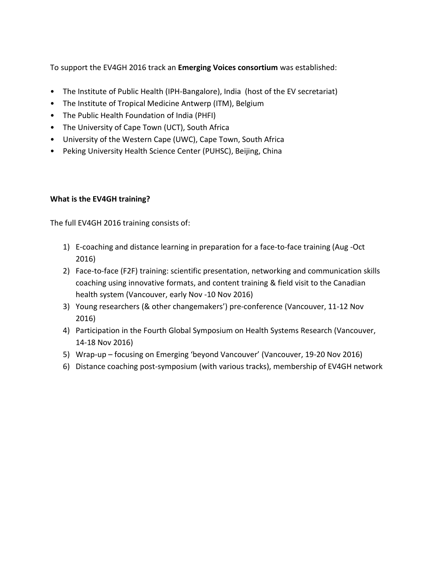To support the EV4GH 2016 track an **Emerging Voices consortium** was established:

- The Institute of Public Health (IPH-Bangalore), India (host of the EV secretariat)
- The Institute of Tropical Medicine Antwerp (ITM), Belgium
- The Public Health Foundation of India (PHFI)
- The University of Cape Town (UCT), South Africa
- University of the Western Cape (UWC), Cape Town, South Africa
- Peking University Health Science Center (PUHSC), Beijing, China

### **What is the EV4GH training?**

The full EV4GH 2016 training consists of:

- 1) E-coaching and distance learning in preparation for a face-to-face training (Aug -Oct 2016)
- 2) Face-to-face (F2F) training: scientific presentation, networking and communication skills coaching using innovative formats, and content training & field visit to the Canadian health system (Vancouver, early Nov -10 Nov 2016)
- 3) Young researchers (& other changemakers') pre-conference (Vancouver, 11-12 Nov 2016)
- 4) Participation in the Fourth Global Symposium on Health Systems Research (Vancouver, 14-18 Nov 2016)
- 5) Wrap-up focusing on Emerging 'beyond Vancouver' (Vancouver, 19-20 Nov 2016)
- 6) Distance coaching post-symposium (with various tracks), membership of EV4GH network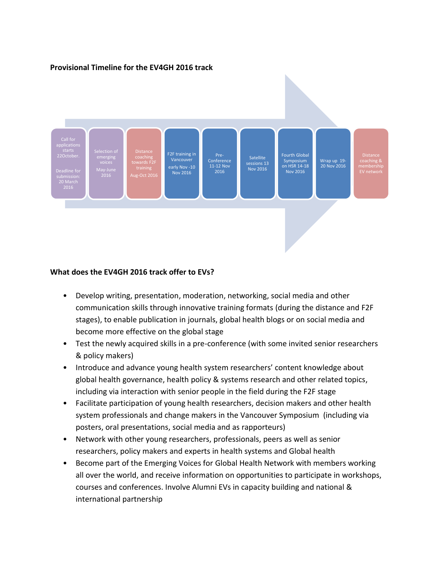#### **Provisional Timeline for the EV4GH 2016 track**



#### **What does the EV4GH 2016 track offer to EVs?**

- Develop writing, presentation, moderation, networking, social media and other communication skills through innovative training formats (during the distance and F2F stages), to enable publication in journals, global health blogs or on social media and become more effective on the global stage
- Test the newly acquired skills in a pre-conference (with some invited senior researchers & policy makers)
- Introduce and advance young health system researchers' content knowledge about global health governance, health policy & systems research and other related topics, including via interaction with senior people in the field during the F2F stage
- Facilitate participation of young health researchers, decision makers and other health system professionals and change makers in the Vancouver Symposium (including via posters, oral presentations, social media and as rapporteurs)
- Network with other young researchers, professionals, peers as well as senior researchers, policy makers and experts in health systems and Global health
- Become part of the Emerging Voices for Global Health Network with members working all over the world, and receive information on opportunities to participate in workshops, courses and conferences. Involve Alumni EVs in capacity building and national & international partnership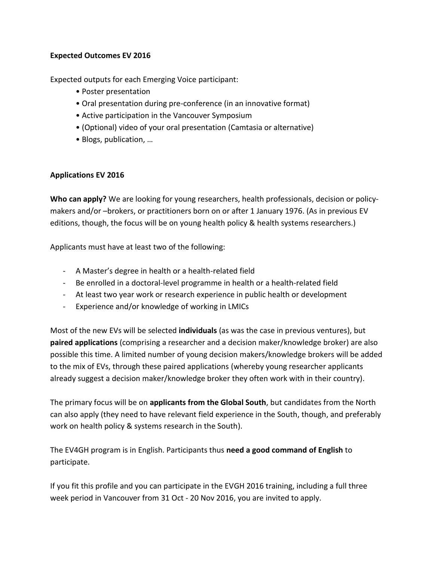#### **Expected Outcomes EV 2016**

Expected outputs for each Emerging Voice participant:

- Poster presentation
- Oral presentation during pre-conference (in an innovative format)
- Active participation in the Vancouver Symposium
- (Optional) video of your oral presentation (Camtasia or alternative)
- Blogs, publication, …

### **Applications EV 2016**

**Who can apply?** We are looking for young researchers, health professionals, decision or policymakers and/or –brokers, or practitioners born on or after 1 January 1976. (As in previous EV editions, though, the focus will be on young health policy & health systems researchers.)

Applicants must have at least two of the following:

- A Master's degree in health or a health-related field
- Be enrolled in a doctoral-level programme in health or a health-related field
- At least two year work or research experience in public health or development
- Experience and/or knowledge of working in LMICs

Most of the new EVs will be selected **individuals** (as was the case in previous ventures), but **paired applications** (comprising a researcher and a decision maker/knowledge broker) are also possible this time. A limited number of young decision makers/knowledge brokers will be added to the mix of EVs, through these paired applications (whereby young researcher applicants already suggest a decision maker/knowledge broker they often work with in their country).

The primary focus will be on **applicants from the Global South**, but candidates from the North can also apply (they need to have relevant field experience in the South, though, and preferably work on health policy & systems research in the South).

The EV4GH program is in English. Participants thus **need a good command of English** to participate.

If you fit this profile and you can participate in the EVGH 2016 training, including a full three week period in Vancouver from 31 Oct - 20 Nov 2016, you are invited to apply.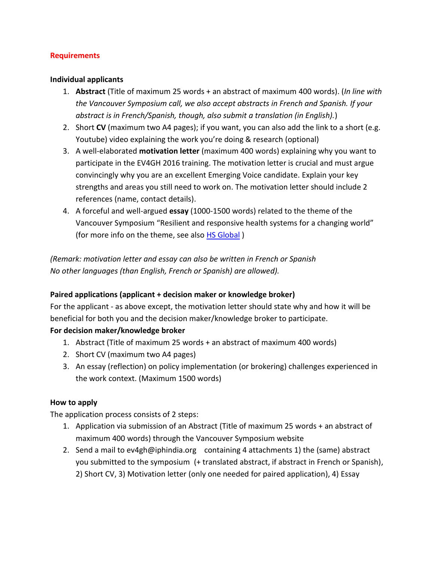#### **Requirements**

#### **Individual applicants**

- 1. **Abstract** (Title of maximum 25 words + an abstract of maximum 400 words). (*In line with the Vancouver Symposium call, we also accept abstracts in French and Spanish. If your abstract is in French/Spanish, though, also submit a translation (in English).*)
- 2. Short **CV** (maximum two A4 pages); if you want, you can also add the link to a short (e.g. Youtube) video explaining the work you're doing & research (optional)
- 3. A well-elaborated **motivation letter** (maximum 400 words) explaining why you want to participate in the EV4GH 2016 training. The motivation letter is crucial and must argue convincingly why you are an excellent Emerging Voice candidate. Explain your key strengths and areas you still need to work on. The motivation letter should include 2 references (name, contact details).
- 4. A forceful and well-argued **essay** (1000-1500 words) related to the theme of the Vancouver Symposium "Resilient and responsive health systems for a changing world" (for more info on the theme, see also [HS Global](http://www.healthsystemsglobal.org/blog/45/Resilient-and-responsive-health-systems-the-focus-of-the-Fourth-Global-Symposium-on-Health-Systems-Research.html))

*(Remark: motivation letter and essay can also be written in French or Spanish No other languages (than English, French or Spanish) are allowed).*

#### **Paired applications (applicant + decision maker or knowledge broker)**

For the applicant - as above except, the motivation letter should state why and how it will be beneficial for both you and the decision maker/knowledge broker to participate.

#### **For decision maker/knowledge broker**

- 1. Abstract (Title of maximum 25 words + an abstract of maximum 400 words)
- 2. Short CV (maximum two A4 pages)
- 3. An essay (reflection) on policy implementation (or brokering) challenges experienced in the work context. (Maximum 1500 words)

#### **How to apply**

The application process consists of 2 steps:

- 1. Application via submission of an Abstract (Title of maximum 25 words + an abstract of maximum 400 words) through the Vancouver Symposium website
- 2. Send a mail to ev4gh@iphindia.org containing 4 attachments 1) the (same) abstract you submitted to the symposium (+ translated abstract, if abstract in French or Spanish), 2) Short CV, 3) Motivation letter (only one needed for paired application), 4) Essay